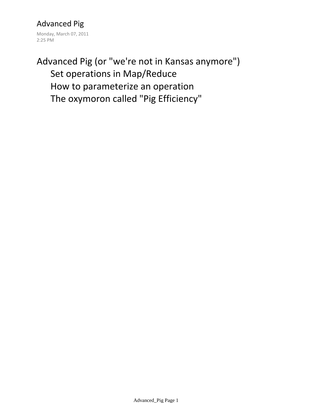Advanced Pig Monday, March 07, 2011 2:25 PM

# Set operations in Map/Reduce How to parameterize an operation The oxymoron called "Pig Efficiency" Advanced Pig (or "we're not in Kansas anymore")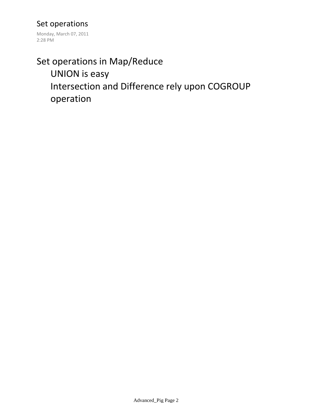#### Set operations

Monday, March 07, 2011 2:28 PM

# UNION is easy Intersection and Difference rely upon COGROUP operation Set operations in Map/Reduce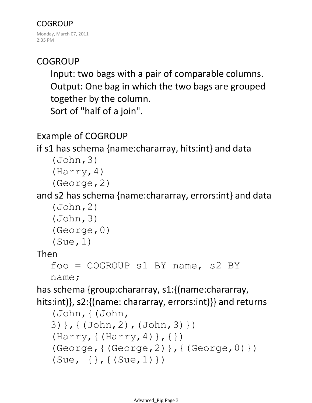## **COGROUP**

Input: two bags with a pair of comparable columns. Output: One bag in which the two bags are grouped together by the column. Sort of "half of a join".

## Example of COGROUP

## if s1 has schema {name:chararray, hits:int} and data

```
(John,3)
(Harry,4)
(George,2)
```
## and s2 has schema {name:chararray, errors:int} and data

```
(John,2)
(John,3)
(George,0)
```

```
(Sue,1)
```
### Then

```
foo = COGROUP s1 BY name, s2 BY
```
name;

has schema {group:chararray, s1:{(name:chararray,

hits:int)}, s2:{(name: chararray, errors:int)}} and returns

```
(John,{(John, 
3)},{(John,2),(John,3)})
(Harry, {(Harry, 4)}, {(George,{(George,2)},{(George,0)})
(Sue, \{ \}, \{ (Sue, 1) \})
```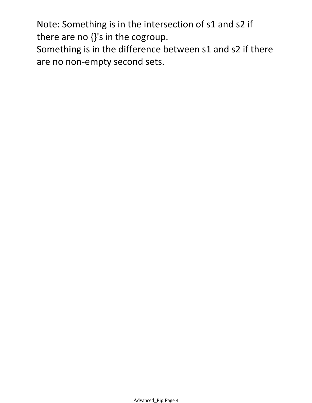Note: Something is in the intersection of s1 and s2 if there are no {}'s in the cogroup.

Something is in the difference between s1 and s2 if there are no non-empty second sets.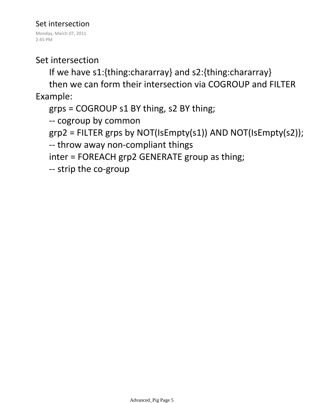#### Set intersection

Monday, March 07, 2011 2:45 PM

### Set intersection

If we have s1:{thing:chararray} and s2:{thing:chararray}

then we can form their intersection via COGROUP and FILTER Example:

grps = COGROUP s1 BY thing, s2 BY thing;

-- cogroup by common

grp2 = FILTER grps by NOT(IsEmpty(s1)) AND NOT(IsEmpty(s2));

-- throw away non-compliant things

inter = FOREACH grp2 GENERATE group as thing;

-- strip the co-group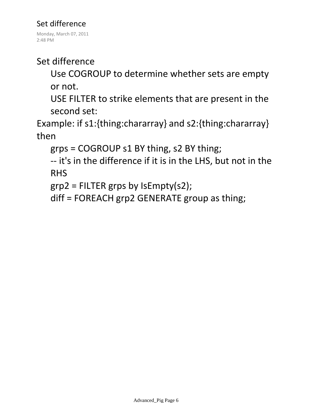### Set difference

Monday, March 07, 2011 2:48 PM

## Set difference

Use COGROUP to determine whether sets are empty or not.

USE FILTER to strike elements that are present in the second set:

Example: if s1:{thing:chararray} and s2:{thing:chararray} then

grps = COGROUP s1 BY thing, s2 BY thing;

-- it's in the difference if it is in the LHS, but not in the RHS

grp2 = FILTER grps by IsEmpty(s2);

diff = FOREACH grp2 GENERATE group as thing;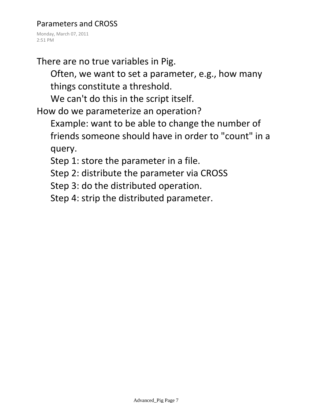#### Parameters and CROSS

Monday, March 07, 2011 2:51 PM

There are no true variables in Pig.

Often, we want to set a parameter, e.g., how many things constitute a threshold.

We can't do this in the script itself.

How do we parameterize an operation?

Example: want to be able to change the number of friends someone should have in order to "count" in a query.

Step 1: store the parameter in a file.

Step 2: distribute the parameter via CROSS

Step 3: do the distributed operation.

Step 4: strip the distributed parameter.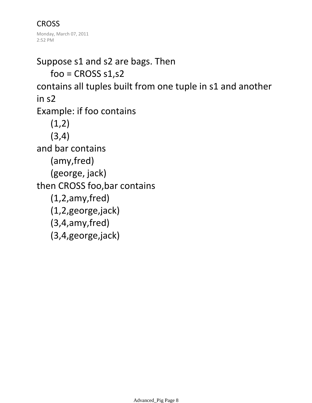**CROSS** Monday, March 07, 2011 2:52 PM

 $foo = CROSS s1, s2$ Suppose s1 and s2 are bags. Then contains all tuples built from one tuple in s1 and another in s2  $(1,2)$ (3,4) Example: if foo contains (amy,fred) (george, jack) and bar contains (1,2,amy,fred) (1,2,george,jack) (3,4,amy,fred) (3,4,george,jack) then CROSS foo,bar contains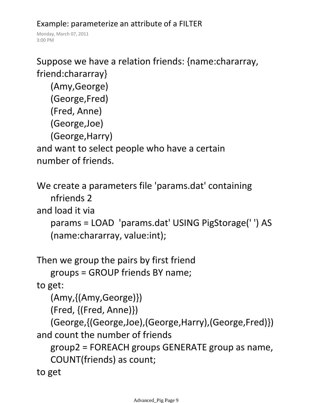### Example: parameterize an attribute of a FILTER

Monday, March 07, 2011 3:00 PM

```
Suppose we have a relation friends: {name:chararray, 
friend:chararray}
```

```
(Amy,George)
(George,Fred)
(Fred, Anne)
(George,Joe)
```
(George,Harry)

and want to select people who have a certain number of friends.

```
We create a parameters file 'params.dat' containing
```
nfriends 2

and load it via

```
params = LOAD 'params.dat' USING PigStorage(' ') AS 
(name:chararray, value:int);
```
Then we group the pairs by first friend

```
groups = GROUP friends BY name;
```
to get:

(Amy,{(Amy,George)})

(Fred, {(Fred, Anne)})

```
(George,{(George,Joe),(George,Harry),(George,Fred)})
and count the number of friends
```
group2 = FOREACH groups GENERATE group as name, COUNT(friends) as count;

to get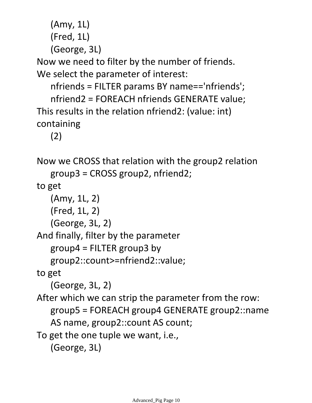```
(Amy, 1L)
```

```
(Fred, 1L)
```
(George, 3L)

Now we need to filter by the number of friends. We select the parameter of interest:

nfriends = FILTER params BY name=='nfriends'; nfriend2 = FOREACH nfriends GENERATE value; This results in the relation nfriend2: (value: int) containing

(2)

Now we CROSS that relation with the group2 relation

```
group3 = CROSS group2, nfriend2;
```
to get

(Amy, 1L, 2)

(Fred, 1L, 2)

(George, 3L, 2)

And finally, filter by the parameter

group4 = FILTER group3 by

group2::count>=nfriend2::value;

to get

(George, 3L, 2)

After which we can strip the parameter from the row:

group5 = FOREACH group4 GENERATE group2::name

AS name, group2::count AS count;

To get the one tuple we want, i.e.,

```
(George, 3L)
```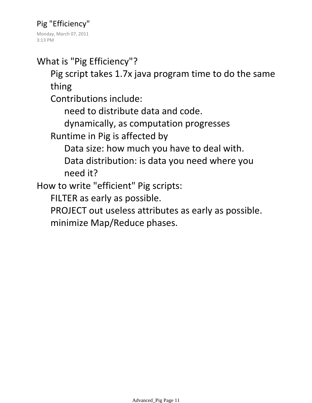Monday, March 07, 2011 3:13 PM

What is "Pig Efficiency"?

Pig script takes 1.7x java program time to do the same thing

Contributions include:

need to distribute data and code.

dynamically, as computation progresses

Runtime in Pig is affected by

Data size: how much you have to deal with.

Data distribution: is data you need where you need it?

How to write "efficient" Pig scripts:

FILTER as early as possible.

PROJECT out useless attributes as early as possible. minimize Map/Reduce phases.